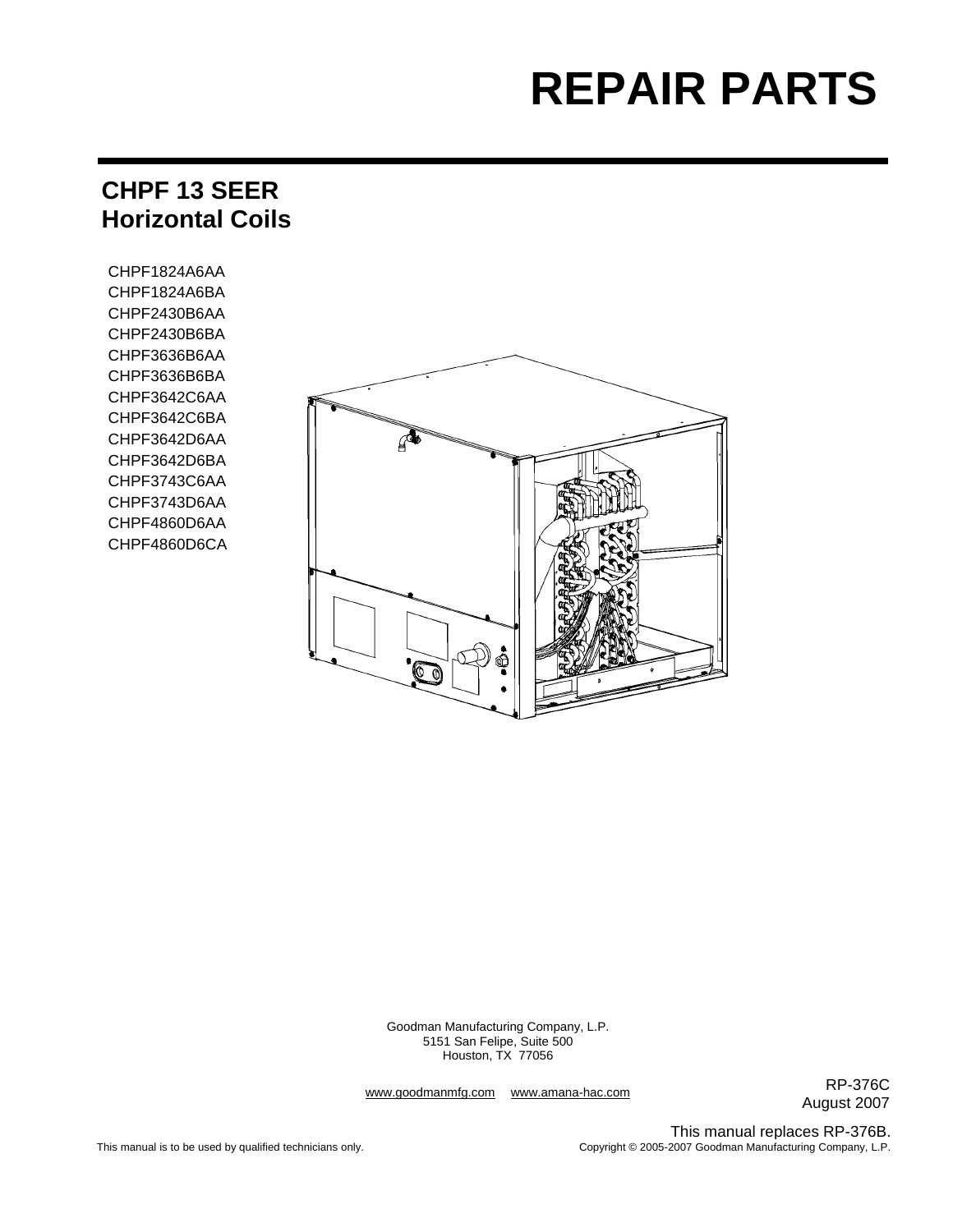# **REPAIR PARTS**

# **CHPF 13 SEER Horizontal Coils**

CHPF1824A6AA CHPF1824A6BA CHPF2430B6AA CHPF2430B6BA CHPF3636B6AA CHPF3636B6BA CHPF3642C6AA CHPF3642C6BA CHPF3642D6AA CHPF3642D6BA CHPF3743C6AA CHPF3743D6AA CHPF4860D6AA CHPF4860D6CA



Goodman Manufacturing Company, L.P. 5151 San Felipe, Suite 500 Houston, TX 77056

www.goodmanmfg.com www.amana-hac.com

RP-376C August 2007

This manual replaces RP-376B. Copyright © 2005-2007 Goodman Manufacturing Company, L.P.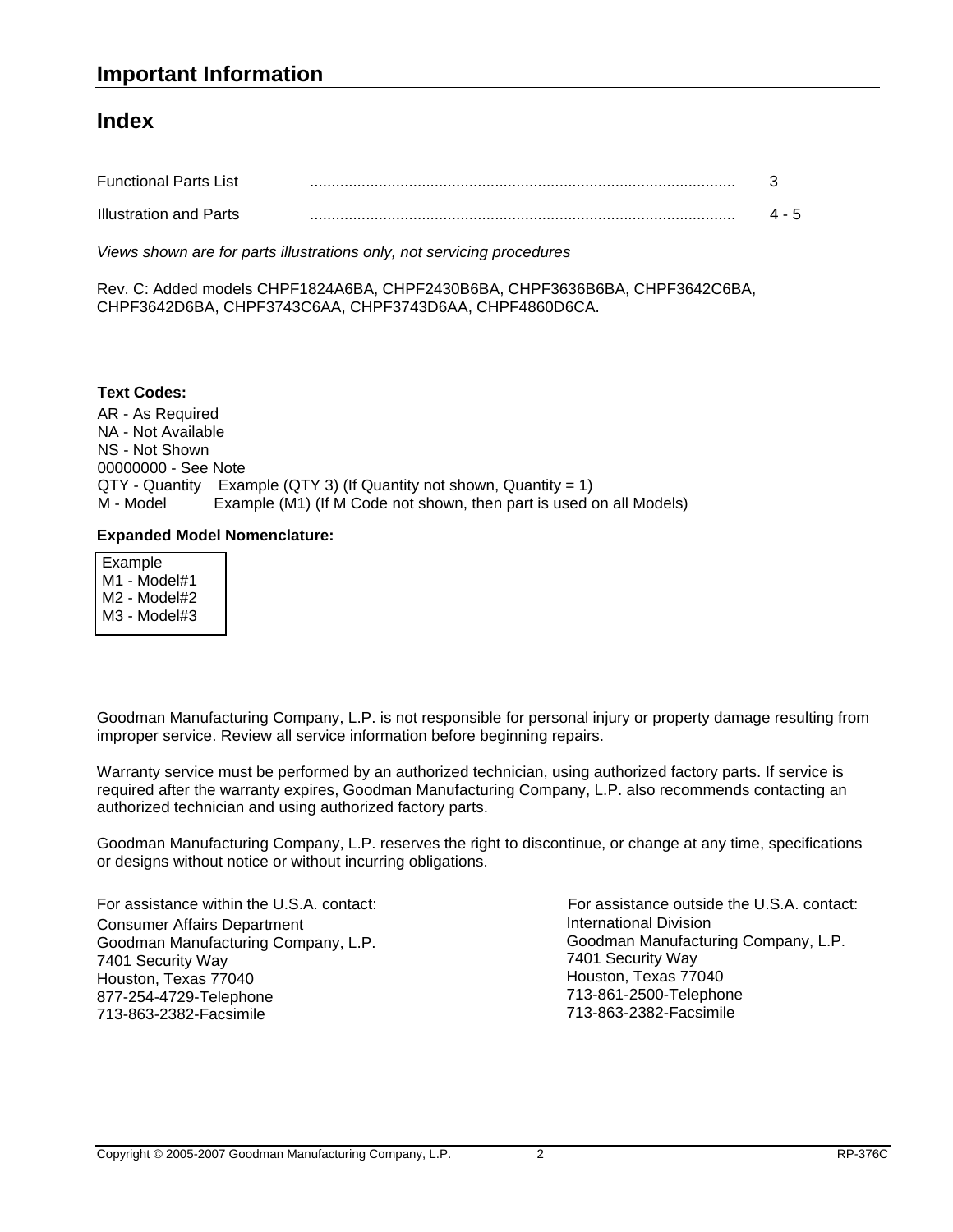### **Index**

| <b>Functional Parts List</b>  |  |
|-------------------------------|--|
| <b>Illustration and Parts</b> |  |

*Views shown are for parts illustrations only, not servicing procedures*

Rev. C: Added models CHPF1824A6BA, CHPF2430B6BA, CHPF3636B6BA, CHPF3642C6BA, CHPF3642D6BA, CHPF3743C6AA, CHPF3743D6AA, CHPF4860D6CA.

AR - As Required NA - Not Available NS - Not Shown 00000000 - See Note QTY - Quantity Example (QTY 3) (If Quantity not shown, Quantity = 1) M - Model Example (M1) (If M Code not shown, then part is used on all Models) **Text Codes:**

#### **Expanded Model Nomenclature:**

 Example M1 - Model#1 M2 - Model#2 M3 - Model#3

Goodman Manufacturing Company, L.P. is not responsible for personal injury or property damage resulting from improper service. Review all service information before beginning repairs.

Warranty service must be performed by an authorized technician, using authorized factory parts. If service is required after the warranty expires, Goodman Manufacturing Company, L.P. also recommends contacting an authorized technician and using authorized factory parts.

Goodman Manufacturing Company, L.P. reserves the right to discontinue, or change at any time, specifications or designs without notice or without incurring obligations.

For assistance within the U.S.A. contact: Consumer Affairs Department Goodman Manufacturing Company, L.P. 7401 Security Way Houston, Texas 77040 877-254-4729-Telephone 713-863-2382-Facsimile

International Division Goodman Manufacturing Company, L.P. 7401 Security Way Houston, Texas 77040 713-861-2500-Telephone 713-863-2382-Facsimile For assistance outside the U.S.A. contact: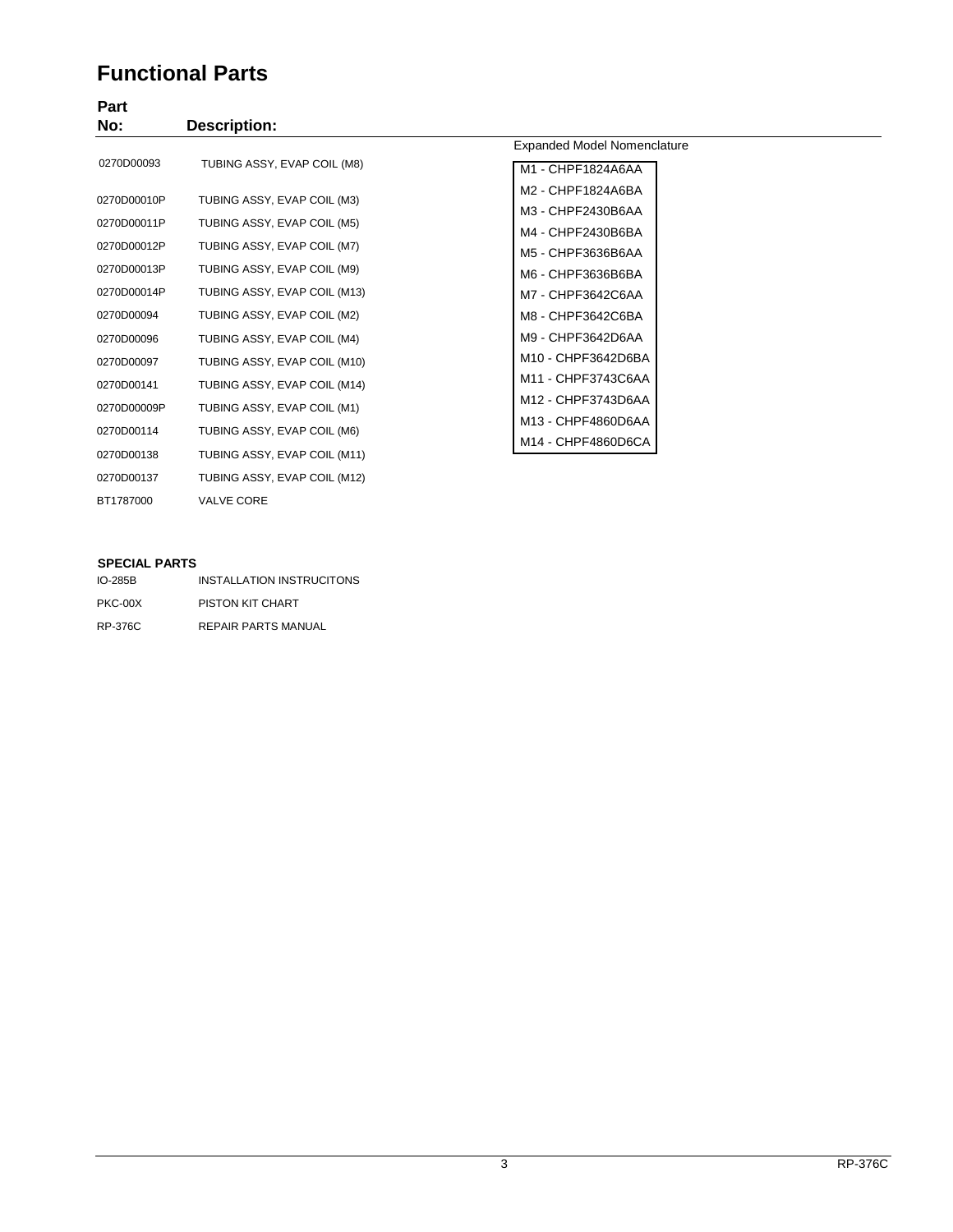## **Functional Parts**

# **Part**

| .           |                              |                             |
|-------------|------------------------------|-----------------------------|
| No:         | <b>Description:</b>          |                             |
|             |                              | Expanded Model Nomenclature |
| 0270D00093  | TUBING ASSY, EVAP COIL (M8)  | M1 - CHPF1824A6AA           |
| 0270D00010P | TUBING ASSY, EVAP COIL (M3)  | M2 - CHPF1824A6BA           |
|             |                              | M3 - CHPF2430B6AA           |
| 0270D00011P | TUBING ASSY, EVAP COIL (M5)  | M4 - CHPF2430B6BA           |
| 0270D00012P | TUBING ASSY, EVAP COIL (M7)  | M5 - CHPF3636B6AA           |
| 0270D00013P | TUBING ASSY, EVAP COIL (M9)  | M6 - CHPF3636B6BA           |
| 0270D00014P | TUBING ASSY, EVAP COIL (M13) | M7 - CHPF3642C6AA           |
| 0270D00094  | TUBING ASSY, EVAP COIL (M2)  | M8 - CHPF3642C6BA           |
| 0270D00096  | TUBING ASSY, EVAP COIL (M4)  | M9 - CHPF3642D6AA           |
| 0270D00097  | TUBING ASSY, EVAP COIL (M10) | M10 - CHPF3642D6BA          |
| 0270D00141  | TUBING ASSY, EVAP COIL (M14) | M11 - CHPF3743C6AA          |
| 0270D00009P | TUBING ASSY, EVAP COIL (M1)  | M12 - CHPF3743D6AA          |
|             |                              | M13 - CHPF4860D6AA          |
| 0270D00114  | TUBING ASSY, EVAP COIL (M6)  | M14 - CHPF4860D6CA          |
| 0270D00138  | TUBING ASSY, EVAP COIL (M11) |                             |
| 0270D00137  | TUBING ASSY, EVAP COIL (M12) |                             |

#### **SPECIAL PARTS**

BT1787000 VALVE CORE

| $IO-285B$ | INSTALLATION INSTRUCITONS  |
|-----------|----------------------------|
| PKC-00X   | PISTON KIT CHART           |
| RP-376C   | <b>REPAIR PARTS MANUAL</b> |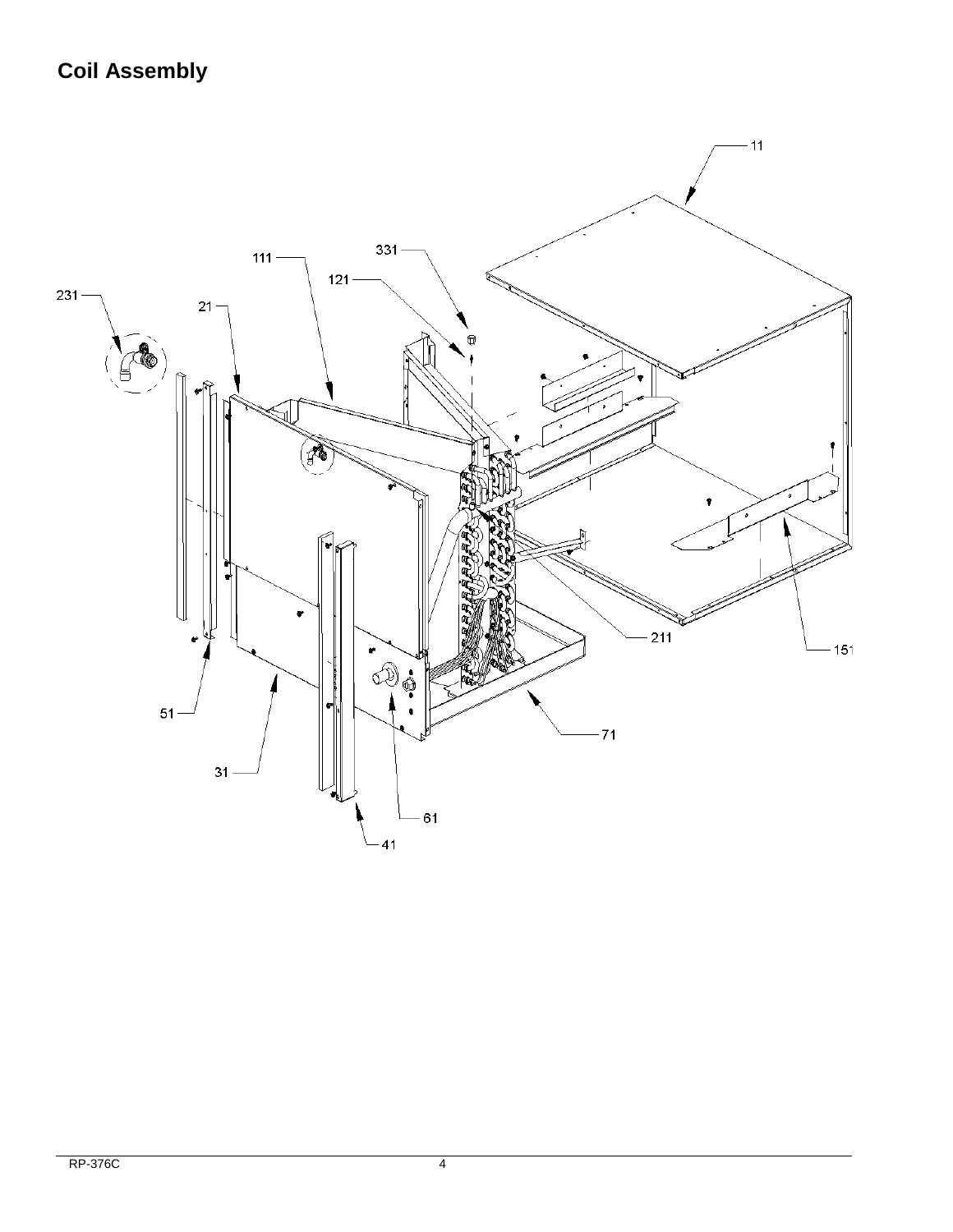# **Coil Assembly**